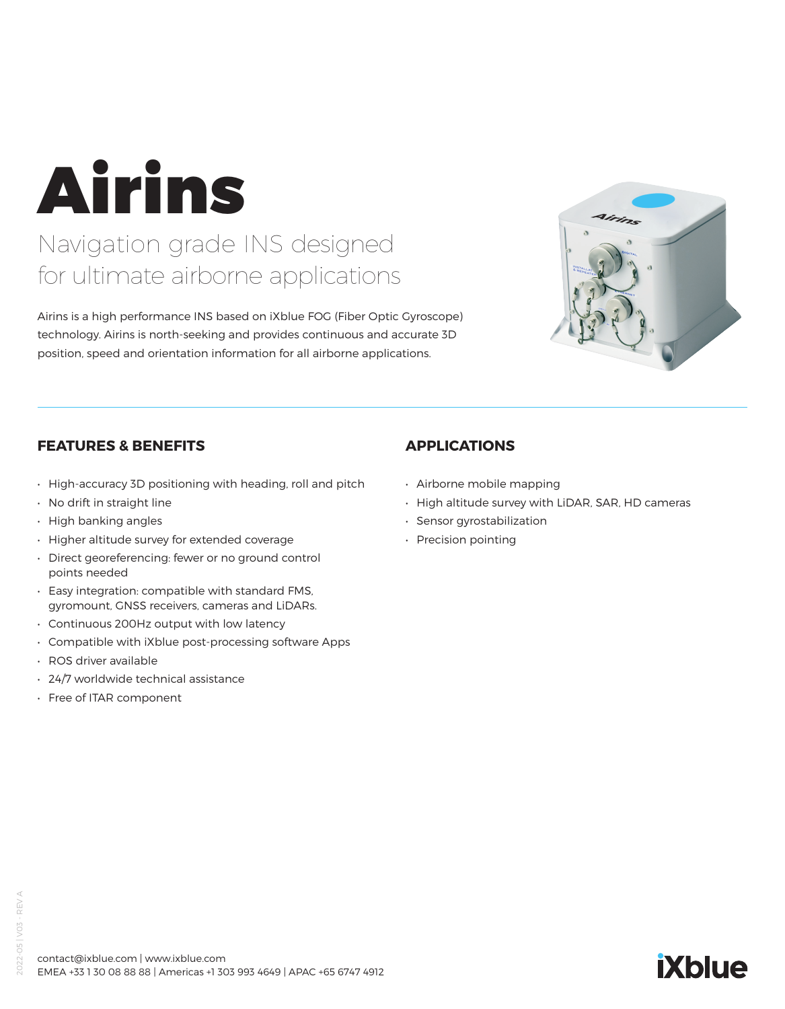Airins

## Navigation grade INS designed for ultimate airborne applications

Airins is a high performance INS based on iXblue FOG (Fiber Optic Gyroscope) technology. Airins is north-seeking and provides continuous and accurate 3D position, speed and orientation information for all airborne applications.



## **FEATURES & BENEFITS**

- High-accuracy 3D positioning with heading, roll and pitch
- No drift in straight line
- High banking angles
- Higher altitude survey for extended coverage
- Direct georeferencing: fewer or no ground control points needed
- Easy integration: compatible with standard FMS, gyromount, GNSS receivers, cameras and LiDARs.
- Continuous 200Hz output with low latency
- Compatible with iXblue post-processing software Apps
- ROS driver available
- 24/7 worldwide technical assistance
- Free of ITAR component

## **APPLICATIONS**

- Airborne mobile mapping
- High altitude survey with LiDAR, SAR, HD cameras
- Sensor gyrostabilization
- Precision pointing

# **iXblue**